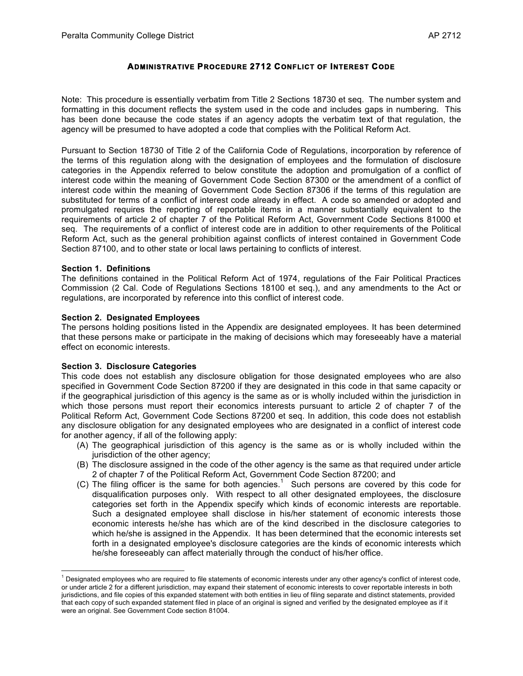# **ADMINISTRATIVE PROCEDURE 2712 CONFLICT OF INTEREST CODE**

Note: This procedure is essentially verbatim from Title 2 Sections 18730 et seq. The number system and formatting in this document reflects the system used in the code and includes gaps in numbering. This has been done because the code states if an agency adopts the verbatim text of that regulation, the agency will be presumed to have adopted a code that complies with the Political Reform Act.

Pursuant to Section 18730 of Title 2 of the California Code of Regulations, incorporation by reference of the terms of this regulation along with the designation of employees and the formulation of disclosure categories in the Appendix referred to below constitute the adoption and promulgation of a conflict of interest code within the meaning of Government Code Section 87300 or the amendment of a conflict of interest code within the meaning of Government Code Section 87306 if the terms of this regulation are substituted for terms of a conflict of interest code already in effect. A code so amended or adopted and promulgated requires the reporting of reportable items in a manner substantially equivalent to the requirements of article 2 of chapter 7 of the Political Reform Act, Government Code Sections 81000 et seq. The requirements of a conflict of interest code are in addition to other requirements of the Political Reform Act, such as the general prohibition against conflicts of interest contained in Government Code Section 87100, and to other state or local laws pertaining to conflicts of interest.

#### **Section 1. Definitions**

l

The definitions contained in the Political Reform Act of 1974, regulations of the Fair Political Practices Commission (2 Cal. Code of Regulations Sections 18100 et seq.), and any amendments to the Act or regulations, are incorporated by reference into this conflict of interest code.

#### **Section 2. Designated Employees**

The persons holding positions listed in the Appendix are designated employees. It has been determined that these persons make or participate in the making of decisions which may foreseeably have a material effect on economic interests.

#### **Section 3. Disclosure Categories**

This code does not establish any disclosure obligation for those designated employees who are also specified in Government Code Section 87200 if they are designated in this code in that same capacity or if the geographical jurisdiction of this agency is the same as or is wholly included within the jurisdiction in which those persons must report their economics interests pursuant to article 2 of chapter 7 of the Political Reform Act, Government Code Sections 87200 et seq. In addition, this code does not establish any disclosure obligation for any designated employees who are designated in a conflict of interest code for another agency, if all of the following apply:

- (A) The geographical jurisdiction of this agency is the same as or is wholly included within the jurisdiction of the other agency;
- (B) The disclosure assigned in the code of the other agency is the same as that required under article 2 of chapter 7 of the Political Reform Act, Government Code Section 87200; and
- (C) The filing officer is the same for both agencies.<sup>1</sup> Such persons are covered by this code for disqualification purposes only. With respect to all other designated employees, the disclosure categories set forth in the Appendix specify which kinds of economic interests are reportable. Such a designated employee shall disclose in his/her statement of economic interests those economic interests he/she has which are of the kind described in the disclosure categories to which he/she is assigned in the Appendix. It has been determined that the economic interests set forth in a designated employee's disclosure categories are the kinds of economic interests which he/she foreseeably can affect materially through the conduct of his/her office.

 $1$  Designated employees who are required to file statements of economic interests under any other agency's conflict of interest code, or under article 2 for a different jurisdiction, may expand their statement of economic interests to cover reportable interests in both jurisdictions, and file copies of this expanded statement with both entities in lieu of filing separate and distinct statements, provided that each copy of such expanded statement filed in place of an original is signed and verified by the designated employee as if it were an original. See Government Code section 81004.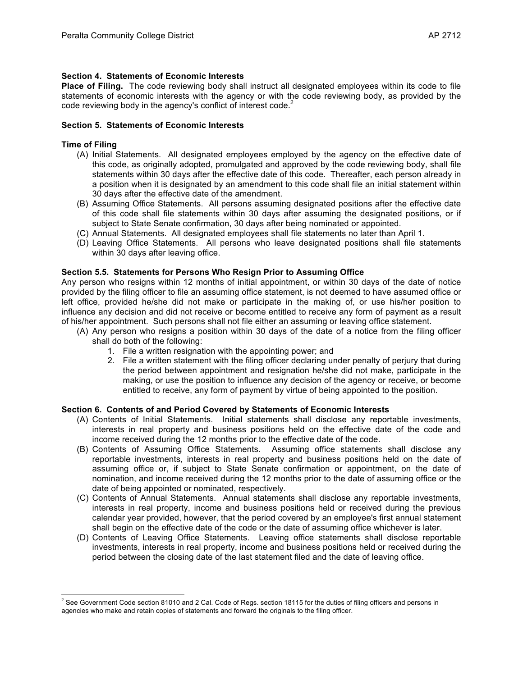## **Section 4. Statements of Economic Interests**

**Place of Filing.** The code reviewing body shall instruct all designated employees within its code to file statements of economic interests with the agency or with the code reviewing body, as provided by the code reviewing body in the agency's conflict of interest code.<sup>2</sup>

## **Section 5. Statements of Economic Interests**

### **Time of Filing**

l

- (A) Initial Statements. All designated employees employed by the agency on the effective date of this code, as originally adopted, promulgated and approved by the code reviewing body, shall file statements within 30 days after the effective date of this code. Thereafter, each person already in a position when it is designated by an amendment to this code shall file an initial statement within 30 days after the effective date of the amendment.
- (B) Assuming Office Statements. All persons assuming designated positions after the effective date of this code shall file statements within 30 days after assuming the designated positions, or if subject to State Senate confirmation, 30 days after being nominated or appointed.
- (C) Annual Statements. All designated employees shall file statements no later than April 1.
- (D) Leaving Office Statements. All persons who leave designated positions shall file statements within 30 days after leaving office.

#### **Section 5.5. Statements for Persons Who Resign Prior to Assuming Office**

Any person who resigns within 12 months of initial appointment, or within 30 days of the date of notice provided by the filing officer to file an assuming office statement, is not deemed to have assumed office or left office, provided he/she did not make or participate in the making of, or use his/her position to influence any decision and did not receive or become entitled to receive any form of payment as a result of his/her appointment. Such persons shall not file either an assuming or leaving office statement.

- (A) Any person who resigns a position within 30 days of the date of a notice from the filing officer shall do both of the following:
	- 1. File a written resignation with the appointing power; and
	- 2. File a written statement with the filing officer declaring under penalty of perjury that during the period between appointment and resignation he/she did not make, participate in the making, or use the position to influence any decision of the agency or receive, or become entitled to receive, any form of payment by virtue of being appointed to the position.

### **Section 6. Contents of and Period Covered by Statements of Economic Interests**

- (A) Contents of Initial Statements. Initial statements shall disclose any reportable investments, interests in real property and business positions held on the effective date of the code and income received during the 12 months prior to the effective date of the code.
- (B) Contents of Assuming Office Statements. Assuming office statements shall disclose any reportable investments, interests in real property and business positions held on the date of assuming office or, if subject to State Senate confirmation or appointment, on the date of nomination, and income received during the 12 months prior to the date of assuming office or the date of being appointed or nominated, respectively.
- (C) Contents of Annual Statements. Annual statements shall disclose any reportable investments, interests in real property, income and business positions held or received during the previous calendar year provided, however, that the period covered by an employee's first annual statement shall begin on the effective date of the code or the date of assuming office whichever is later.
- (D) Contents of Leaving Office Statements. Leaving office statements shall disclose reportable investments, interests in real property, income and business positions held or received during the period between the closing date of the last statement filed and the date of leaving office.

 $^2$  See Government Code section 81010 and 2 Cal. Code of Regs. section 18115 for the duties of filing officers and persons in agencies who make and retain copies of statements and forward the originals to the filing officer.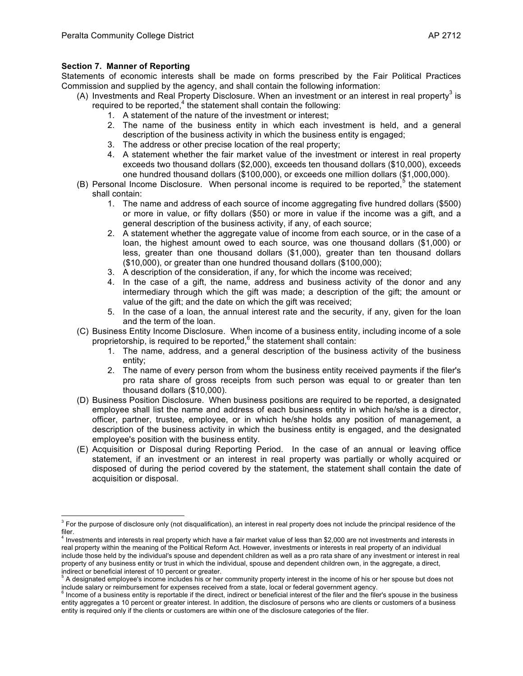# **Section 7. Manner of Reporting**

l

Statements of economic interests shall be made on forms prescribed by the Fair Political Practices Commission and supplied by the agency, and shall contain the following information:

- (A) Investments and Real Property Disclosure. When an investment or an interest in real property<sup>3</sup> is required to be reported, $4$  the statement shall contain the following:
	- 1. A statement of the nature of the investment or interest;
	- 2. The name of the business entity in which each investment is held, and a general description of the business activity in which the business entity is engaged;
	- 3. The address or other precise location of the real property;
	- 4. A statement whether the fair market value of the investment or interest in real property exceeds two thousand dollars (\$2,000), exceeds ten thousand dollars (\$10,000), exceeds one hundred thousand dollars (\$100,000), or exceeds one million dollars (\$1,000,000).
- (B) Personal Income Disclosure. When personal income is required to be reported,  $5$  the statement shall contain:
	- 1. The name and address of each source of income aggregating five hundred dollars (\$500) or more in value, or fifty dollars (\$50) or more in value if the income was a gift, and a general description of the business activity, if any, of each source;
	- 2. A statement whether the aggregate value of income from each source, or in the case of a loan, the highest amount owed to each source, was one thousand dollars (\$1,000) or less, greater than one thousand dollars (\$1,000), greater than ten thousand dollars (\$10,000), or greater than one hundred thousand dollars (\$100,000);
	- 3. A description of the consideration, if any, for which the income was received;
	- 4. In the case of a gift, the name, address and business activity of the donor and any intermediary through which the gift was made; a description of the gift; the amount or value of the gift; and the date on which the gift was received;
	- 5. In the case of a loan, the annual interest rate and the security, if any, given for the loan and the term of the loan.
- (C) Business Entity Income Disclosure. When income of a business entity, including income of a sole proprietorship, is required to be reported, $6$  the statement shall contain:
	- 1. The name, address, and a general description of the business activity of the business entity;
	- 2. The name of every person from whom the business entity received payments if the filer's pro rata share of gross receipts from such person was equal to or greater than ten thousand dollars (\$10,000).
- (D) Business Position Disclosure. When business positions are required to be reported, a designated employee shall list the name and address of each business entity in which he/she is a director, officer, partner, trustee, employee, or in which he/she holds any position of management, a description of the business activity in which the business entity is engaged, and the designated employee's position with the business entity.
- (E) Acquisition or Disposal during Reporting Period. In the case of an annual or leaving office statement, if an investment or an interest in real property was partially or wholly acquired or disposed of during the period covered by the statement, the statement shall contain the date of acquisition or disposal.

 $3$  For the purpose of disclosure only (not disqualification), an interest in real property does not include the principal residence of the filer.

 $<sup>4</sup>$  Investments and interests in real property which have a fair market value of less than \$2,000 are not investments and interests in</sup> real property within the meaning of the Political Reform Act. However, investments or interests in real property of an individual include those held by the individual's spouse and dependent children as well as a pro rata share of any investment or interest in real property of any business entity or trust in which the individual, spouse and dependent children own, in the aggregate, a direct, indirect or beneficial interest of 10 percent or greater.

<sup>&</sup>lt;sup>5</sup> A designated employee's income includes his or her community property interest in the income of his or her spouse but does not include salary or reimbursement for expenses received from a state, local or federal govern

 $6$  Income of a business entity is reportable if the direct, indirect or beneficial interest of the filer and the filer's spouse in the business entity aggregates a 10 percent or greater interest. In addition, the disclosure of persons who are clients or customers of a business entity is required only if the clients or customers are within one of the disclosure categories of the filer.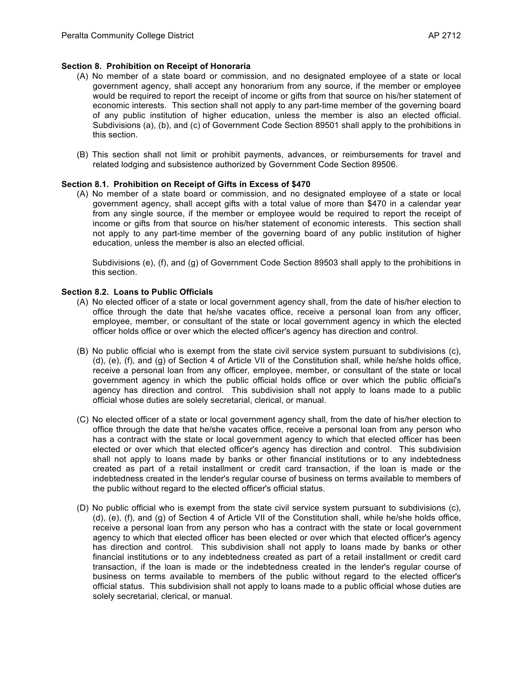## **Section 8. Prohibition on Receipt of Honoraria**

- (A) No member of a state board or commission, and no designated employee of a state or local government agency, shall accept any honorarium from any source, if the member or employee would be required to report the receipt of income or gifts from that source on his/her statement of economic interests. This section shall not apply to any part-time member of the governing board of any public institution of higher education, unless the member is also an elected official. Subdivisions (a), (b), and (c) of Government Code Section 89501 shall apply to the prohibitions in this section.
- (B) This section shall not limit or prohibit payments, advances, or reimbursements for travel and related lodging and subsistence authorized by Government Code Section 89506.

#### **Section 8.1. Prohibition on Receipt of Gifts in Excess of \$470**

(A) No member of a state board or commission, and no designated employee of a state or local government agency, shall accept gifts with a total value of more than \$470 in a calendar year from any single source, if the member or employee would be required to report the receipt of income or gifts from that source on his/her statement of economic interests. This section shall not apply to any part-time member of the governing board of any public institution of higher education, unless the member is also an elected official.

Subdivisions (e), (f), and (g) of Government Code Section 89503 shall apply to the prohibitions in this section.

### **Section 8.2. Loans to Public Officials**

- (A) No elected officer of a state or local government agency shall, from the date of his/her election to office through the date that he/she vacates office, receive a personal loan from any officer, employee, member, or consultant of the state or local government agency in which the elected officer holds office or over which the elected officer's agency has direction and control.
- (B) No public official who is exempt from the state civil service system pursuant to subdivisions (c), (d), (e), (f), and (g) of Section 4 of Article VII of the Constitution shall, while he/she holds office, receive a personal loan from any officer, employee, member, or consultant of the state or local government agency in which the public official holds office or over which the public official's agency has direction and control. This subdivision shall not apply to loans made to a public official whose duties are solely secretarial, clerical, or manual.
- (C) No elected officer of a state or local government agency shall, from the date of his/her election to office through the date that he/she vacates office, receive a personal loan from any person who has a contract with the state or local government agency to which that elected officer has been elected or over which that elected officer's agency has direction and control. This subdivision shall not apply to loans made by banks or other financial institutions or to any indebtedness created as part of a retail installment or credit card transaction, if the loan is made or the indebtedness created in the lender's regular course of business on terms available to members of the public without regard to the elected officer's official status.
- (D) No public official who is exempt from the state civil service system pursuant to subdivisions (c), (d), (e), (f), and (g) of Section 4 of Article VII of the Constitution shall, while he/she holds office, receive a personal loan from any person who has a contract with the state or local government agency to which that elected officer has been elected or over which that elected officer's agency has direction and control. This subdivision shall not apply to loans made by banks or other financial institutions or to any indebtedness created as part of a retail installment or credit card transaction, if the loan is made or the indebtedness created in the lender's regular course of business on terms available to members of the public without regard to the elected officer's official status. This subdivision shall not apply to loans made to a public official whose duties are solely secretarial, clerical, or manual.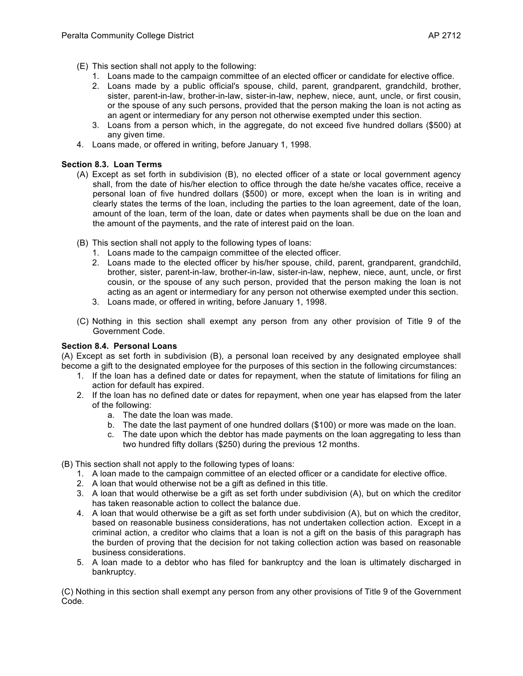- (E) This section shall not apply to the following:
	- 1. Loans made to the campaign committee of an elected officer or candidate for elective office.
	- 2. Loans made by a public official's spouse, child, parent, grandparent, grandchild, brother, sister, parent-in-law, brother-in-law, sister-in-law, nephew, niece, aunt, uncle, or first cousin, or the spouse of any such persons, provided that the person making the loan is not acting as an agent or intermediary for any person not otherwise exempted under this section.
	- 3. Loans from a person which, in the aggregate, do not exceed five hundred dollars (\$500) at any given time.
- 4. Loans made, or offered in writing, before January 1, 1998.

# **Section 8.3. Loan Terms**

- (A) Except as set forth in subdivision (B), no elected officer of a state or local government agency shall, from the date of his/her election to office through the date he/she vacates office, receive a personal loan of five hundred dollars (\$500) or more, except when the loan is in writing and clearly states the terms of the loan, including the parties to the loan agreement, date of the loan, amount of the loan, term of the loan, date or dates when payments shall be due on the loan and the amount of the payments, and the rate of interest paid on the loan.
- (B) This section shall not apply to the following types of loans:
	- 1. Loans made to the campaign committee of the elected officer.
	- 2. Loans made to the elected officer by his/her spouse, child, parent, grandparent, grandchild, brother, sister, parent-in-law, brother-in-law, sister-in-law, nephew, niece, aunt, uncle, or first cousin, or the spouse of any such person, provided that the person making the loan is not acting as an agent or intermediary for any person not otherwise exempted under this section.
	- 3. Loans made, or offered in writing, before January 1, 1998.
- (C) Nothing in this section shall exempt any person from any other provision of Title 9 of the Government Code.

#### **Section 8.4. Personal Loans**

(A) Except as set forth in subdivision (B), a personal loan received by any designated employee shall become a gift to the designated employee for the purposes of this section in the following circumstances:

- 1. If the loan has a defined date or dates for repayment, when the statute of limitations for filing an action for default has expired.
- 2. If the loan has no defined date or dates for repayment, when one year has elapsed from the later of the following:
	- a. The date the loan was made.
	- b. The date the last payment of one hundred dollars (\$100) or more was made on the loan.
	- c. The date upon which the debtor has made payments on the loan aggregating to less than two hundred fifty dollars (\$250) during the previous 12 months.
- (B) This section shall not apply to the following types of loans:
	- 1. A loan made to the campaign committee of an elected officer or a candidate for elective office.
	- 2. A loan that would otherwise not be a gift as defined in this title.
	- 3. A loan that would otherwise be a gift as set forth under subdivision (A), but on which the creditor has taken reasonable action to collect the balance due.
	- 4. A loan that would otherwise be a gift as set forth under subdivision (A), but on which the creditor, based on reasonable business considerations, has not undertaken collection action. Except in a criminal action, a creditor who claims that a loan is not a gift on the basis of this paragraph has the burden of proving that the decision for not taking collection action was based on reasonable business considerations.
	- 5. A loan made to a debtor who has filed for bankruptcy and the loan is ultimately discharged in bankruptcy.

(C) Nothing in this section shall exempt any person from any other provisions of Title 9 of the Government Code.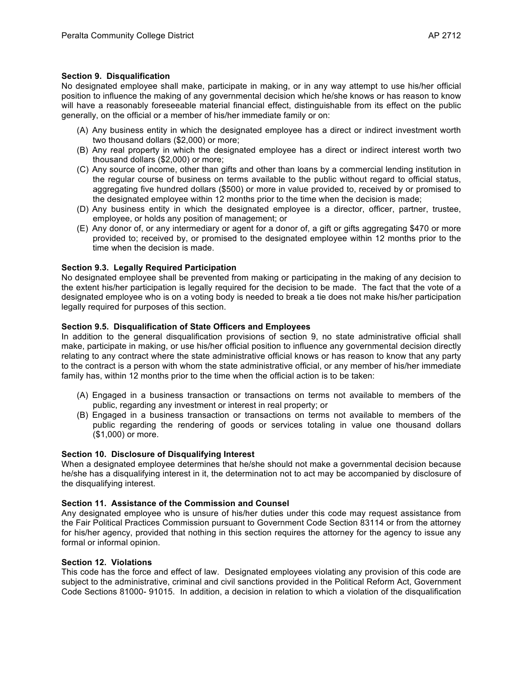#### **Section 9. Disqualification**

No designated employee shall make, participate in making, or in any way attempt to use his/her official position to influence the making of any governmental decision which he/she knows or has reason to know will have a reasonably foreseeable material financial effect, distinguishable from its effect on the public generally, on the official or a member of his/her immediate family or on:

- (A) Any business entity in which the designated employee has a direct or indirect investment worth two thousand dollars (\$2,000) or more;
- (B) Any real property in which the designated employee has a direct or indirect interest worth two thousand dollars (\$2,000) or more;
- (C) Any source of income, other than gifts and other than loans by a commercial lending institution in the regular course of business on terms available to the public without regard to official status, aggregating five hundred dollars (\$500) or more in value provided to, received by or promised to the designated employee within 12 months prior to the time when the decision is made;
- (D) Any business entity in which the designated employee is a director, officer, partner, trustee, employee, or holds any position of management; or
- (E) Any donor of, or any intermediary or agent for a donor of, a gift or gifts aggregating \$470 or more provided to; received by, or promised to the designated employee within 12 months prior to the time when the decision is made.

#### **Section 9.3. Legally Required Participation**

No designated employee shall be prevented from making or participating in the making of any decision to the extent his/her participation is legally required for the decision to be made. The fact that the vote of a designated employee who is on a voting body is needed to break a tie does not make his/her participation legally required for purposes of this section.

#### **Section 9.5. Disqualification of State Officers and Employees**

In addition to the general disqualification provisions of section 9, no state administrative official shall make, participate in making, or use his/her official position to influence any governmental decision directly relating to any contract where the state administrative official knows or has reason to know that any party to the contract is a person with whom the state administrative official, or any member of his/her immediate family has, within 12 months prior to the time when the official action is to be taken:

- (A) Engaged in a business transaction or transactions on terms not available to members of the public, regarding any investment or interest in real property; or
- (B) Engaged in a business transaction or transactions on terms not available to members of the public regarding the rendering of goods or services totaling in value one thousand dollars (\$1,000) or more.

#### **Section 10. Disclosure of Disqualifying Interest**

When a designated employee determines that he/she should not make a governmental decision because he/she has a disqualifying interest in it, the determination not to act may be accompanied by disclosure of the disqualifying interest.

## **Section 11. Assistance of the Commission and Counsel**

Any designated employee who is unsure of his/her duties under this code may request assistance from the Fair Political Practices Commission pursuant to Government Code Section 83114 or from the attorney for his/her agency, provided that nothing in this section requires the attorney for the agency to issue any formal or informal opinion.

#### **Section 12. Violations**

This code has the force and effect of law. Designated employees violating any provision of this code are subject to the administrative, criminal and civil sanctions provided in the Political Reform Act, Government Code Sections 81000- 91015. In addition, a decision in relation to which a violation of the disqualification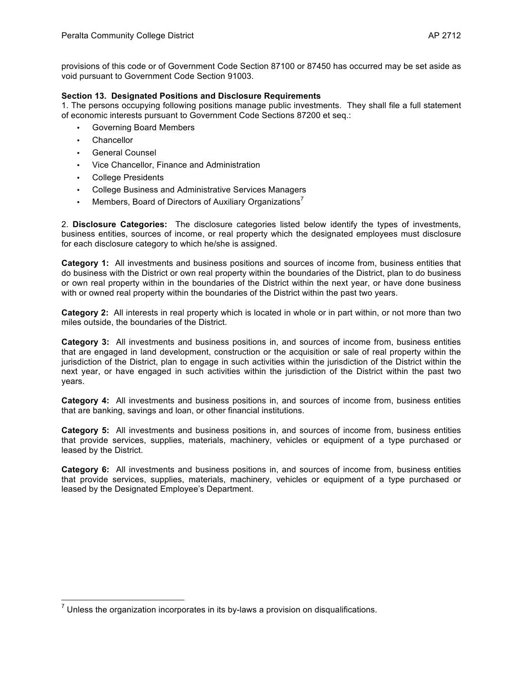provisions of this code or of Government Code Section 87100 or 87450 has occurred may be set aside as void pursuant to Government Code Section 91003.

# **Section 13. Designated Positions and Disclosure Requirements**

1. The persons occupying following positions manage public investments. They shall file a full statement of economic interests pursuant to Government Code Sections 87200 et seq.:

- Governing Board Members
- **Chancellor**
- General Counsel
- Vice Chancellor, Finance and Administration
- College Presidents
- College Business and Administrative Services Managers
- Members, Board of Directors of Auxiliary Organizations<sup>7</sup>

2. **Disclosure Categories:** The disclosure categories listed below identify the types of investments, business entities, sources of income, or real property which the designated employees must disclosure for each disclosure category to which he/she is assigned.

**Category 1:** All investments and business positions and sources of income from, business entities that do business with the District or own real property within the boundaries of the District, plan to do business or own real property within in the boundaries of the District within the next year, or have done business with or owned real property within the boundaries of the District within the past two years.

**Category 2:** All interests in real property which is located in whole or in part within, or not more than two miles outside, the boundaries of the District.

**Category 3:** All investments and business positions in, and sources of income from, business entities that are engaged in land development, construction or the acquisition or sale of real property within the jurisdiction of the District, plan to engage in such activities within the jurisdiction of the District within the next year, or have engaged in such activities within the jurisdiction of the District within the past two years.

**Category 4:** All investments and business positions in, and sources of income from, business entities that are banking, savings and loan, or other financial institutions.

**Category 5:** All investments and business positions in, and sources of income from, business entities that provide services, supplies, materials, machinery, vehicles or equipment of a type purchased or leased by the District.

**Category 6:** All investments and business positions in, and sources of income from, business entities that provide services, supplies, materials, machinery, vehicles or equipment of a type purchased or leased by the Designated Employee's Department.

 $<sup>7</sup>$  Unless the organization incorporates in its by-laws a provision on disqualifications.</sup>